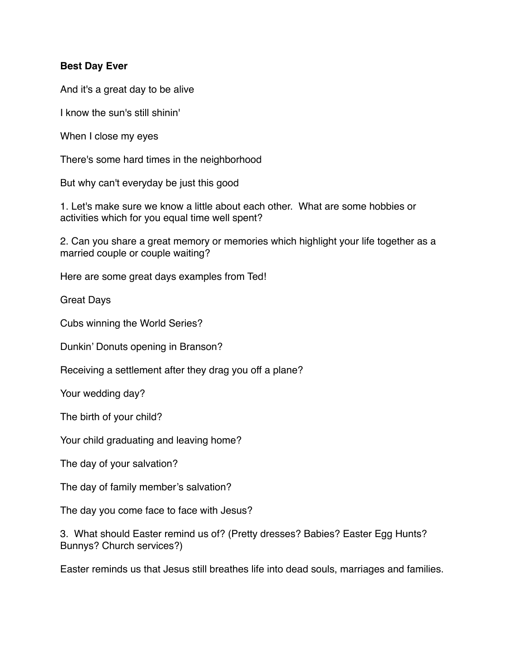## **Best Day Ever**

And it's a great day to be alive

I know the sun's still shinin'

When I close my eyes

There's some hard times in the neighborhood

But why can't everyday be just this good

1. Let's make sure we know a little about each other. What are some hobbies or activities which for you equal time well spent?

2. Can you share a great memory or memories which highlight your life together as a married couple or couple waiting?

Here are some great days examples from Ted!

Great Days

Cubs winning the World Series?

Dunkin' Donuts opening in Branson?

Receiving a settlement after they drag you off a plane?

Your wedding day?

The birth of your child?

Your child graduating and leaving home?

The day of your salvation?

The day of family member's salvation?

The day you come face to face with Jesus?

3. What should Easter remind us of? (Pretty dresses? Babies? Easter Egg Hunts? Bunnys? Church services?)

Easter reminds us that Jesus still breathes life into dead souls, marriages and families.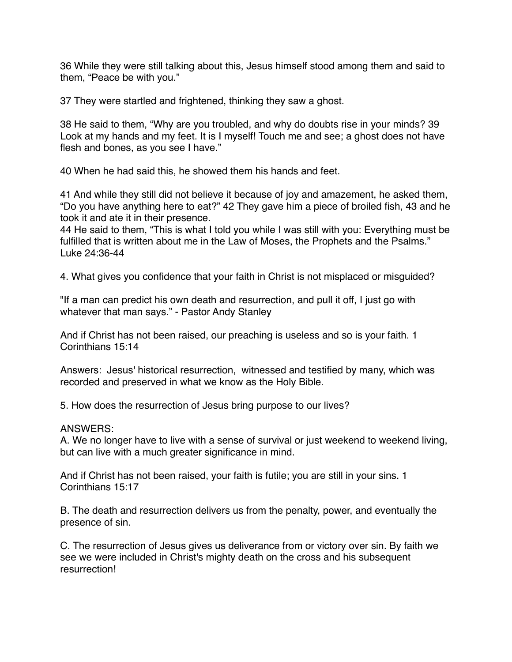36 While they were still talking about this, Jesus himself stood among them and said to them, "Peace be with you."

37 They were startled and frightened, thinking they saw a ghost.

38 He said to them, "Why are you troubled, and why do doubts rise in your minds? 39 Look at my hands and my feet. It is I myself! Touch me and see; a ghost does not have flesh and bones, as you see I have."

40 When he had said this, he showed them his hands and feet.

41 And while they still did not believe it because of joy and amazement, he asked them, "Do you have anything here to eat?" 42 They gave him a piece of broiled fish, 43 and he took it and ate it in their presence.

44 He said to them, "This is what I told you while I was still with you: Everything must be fulfilled that is written about me in the Law of Moses, the Prophets and the Psalms." Luke 24:36-44

4. What gives you confidence that your faith in Christ is not misplaced or misguided?

"If a man can predict his own death and resurrection, and pull it off, I just go with whatever that man says." - Pastor Andy Stanley

And if Christ has not been raised, our preaching is useless and so is your faith. 1 Corinthians 15:14

Answers: Jesus' historical resurrection, witnessed and testified by many, which was recorded and preserved in what we know as the Holy Bible.

5. How does the resurrection of Jesus bring purpose to our lives?

## ANSWERS:

A. We no longer have to live with a sense of survival or just weekend to weekend living, but can live with a much greater significance in mind.

And if Christ has not been raised, your faith is futile; you are still in your sins. 1 Corinthians 15:17

B. The death and resurrection delivers us from the penalty, power, and eventually the presence of sin.

C. The resurrection of Jesus gives us deliverance from or victory over sin. By faith we see we were included in Christ's mighty death on the cross and his subsequent resurrection!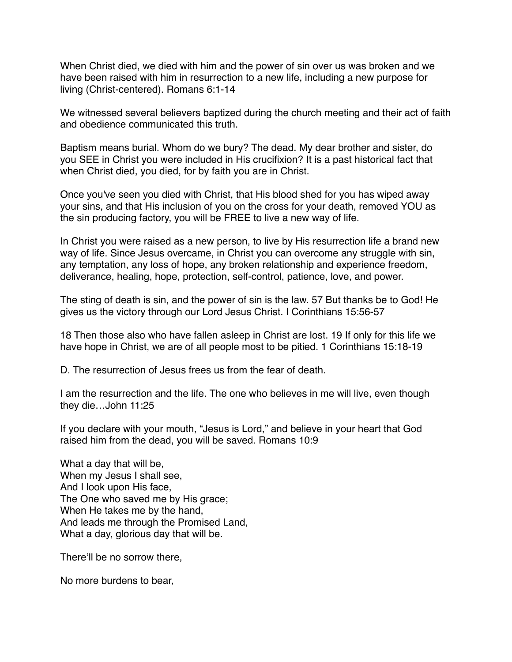When Christ died, we died with him and the power of sin over us was broken and we have been raised with him in resurrection to a new life, including a new purpose for living (Christ-centered). Romans 6:1-14

We witnessed several believers baptized during the church meeting and their act of faith and obedience communicated this truth.

Baptism means burial. Whom do we bury? The dead. My dear brother and sister, do you SEE in Christ you were included in His crucifixion? It is a past historical fact that when Christ died, you died, for by faith you are in Christ.

Once you've seen you died with Christ, that His blood shed for you has wiped away your sins, and that His inclusion of you on the cross for your death, removed YOU as the sin producing factory, you will be FREE to live a new way of life.

In Christ you were raised as a new person, to live by His resurrection life a brand new way of life. Since Jesus overcame, in Christ you can overcome any struggle with sin, any temptation, any loss of hope, any broken relationship and experience freedom, deliverance, healing, hope, protection, self-control, patience, love, and power.

The sting of death is sin, and the power of sin is the law. 57 But thanks be to God! He gives us the victory through our Lord Jesus Christ. I Corinthians 15:56-57

18 Then those also who have fallen asleep in Christ are lost. 19 If only for this life we have hope in Christ, we are of all people most to be pitied. 1 Corinthians 15:18-19

D. The resurrection of Jesus frees us from the fear of death.

I am the resurrection and the life. The one who believes in me will live, even though they die…John 11:25

If you declare with your mouth, "Jesus is Lord," and believe in your heart that God raised him from the dead, you will be saved. Romans 10:9

What a day that will be, When my Jesus I shall see, And I look upon His face, The One who saved me by His grace; When He takes me by the hand, And leads me through the Promised Land, What a day, glorious day that will be.

There'll be no sorrow there,

No more burdens to bear,